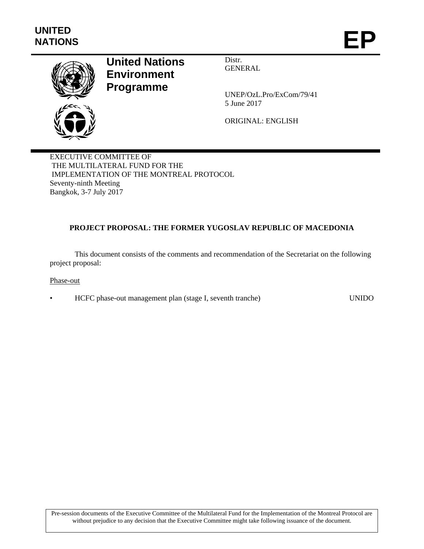

# **United Nations Environment Programme**

Distr. GENERAL

UNEP/OzL.Pro/ExCom/79/41 5 June 2017

ORIGINAL: ENGLISH

EXECUTIVE COMMITTEE OF THE MULTILATERAL FUND FOR THE IMPLEMENTATION OF THE MONTREAL PROTOCOL Seventy-ninth Meeting Bangkok, 3-7 July 2017

# **PROJECT PROPOSAL: THE FORMER YUGOSLAV REPUBLIC OF MACEDONIA**

This document consists of the comments and recommendation of the Secretariat on the following project proposal:

## Phase-out

• HCFC phase-out management plan (stage I, seventh tranche) UNIDO

Pre-session documents of the Executive Committee of the Multilateral Fund for the Implementation of the Montreal Protocol are without prejudice to any decision that the Executive Committee might take following issuance of the document.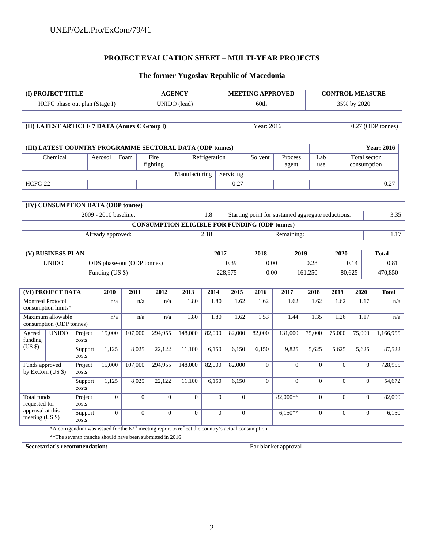# **PROJECT EVALUATION SHEET – MULTI-YEAR PROJECTS**

#### **The former Yugoslav Republic of Macedonia**

| (I) PROJECT TITLE                                                                  |              |                  |         | <b>AGENCY</b>              |                     |                  |               |                  | <b>MEETING APPROVED</b> |                                 |                                                      |                  | <b>CONTROL MEASURE</b> |                |                             |              |
|------------------------------------------------------------------------------------|--------------|------------------|---------|----------------------------|---------------------|------------------|---------------|------------------|-------------------------|---------------------------------|------------------------------------------------------|------------------|------------------------|----------------|-----------------------------|--------------|
| HCFC phase out plan (Stage I)                                                      |              |                  |         |                            | <b>UNIDO</b> (lead) |                  |               |                  | 60th                    |                                 |                                                      |                  | 35% by 2020            |                |                             |              |
|                                                                                    |              |                  |         |                            |                     |                  |               |                  |                         |                                 |                                                      |                  |                        |                |                             |              |
| (II) LATEST ARTICLE 7 DATA (Annex C Group I)                                       |              |                  |         |                            |                     |                  |               |                  | Year: 2016              |                                 |                                                      |                  | 0.27 (ODP tonnes)      |                |                             |              |
|                                                                                    |              |                  |         |                            |                     |                  |               |                  |                         |                                 |                                                      |                  |                        |                |                             |              |
| (III) LATEST COUNTRY PROGRAMME SECTORAL DATA (ODP tonnes)                          |              |                  |         |                            |                     |                  |               |                  |                         |                                 |                                                      |                  | <b>Year: 2016</b>      |                |                             |              |
| Chemical                                                                           |              |                  | Aerosol | Foam                       |                     | Fire<br>fighting |               |                  | Refrigeration           |                                 | Solvent                                              | Process<br>agent | Lab<br>use             |                | Total sector<br>consumption |              |
|                                                                                    |              |                  |         |                            |                     |                  | Manufacturing |                  |                         | Servicing                       |                                                      |                  |                        |                |                             |              |
| HCFC-22                                                                            |              |                  |         |                            |                     |                  |               |                  | 0.27                    |                                 |                                                      |                  |                        |                | 0.27                        |              |
|                                                                                    |              |                  |         |                            |                     |                  |               |                  |                         |                                 |                                                      |                  |                        |                |                             |              |
| (IV) CONSUMPTION DATA (ODP tonnes)                                                 |              |                  |         |                            |                     |                  |               |                  |                         |                                 |                                                      |                  |                        |                |                             |              |
| 2009 - 2010 baseline:<br>1.8<br>Starting point for sustained aggregate reductions: |              |                  |         |                            |                     |                  |               |                  | 3.35                    |                                 |                                                      |                  |                        |                |                             |              |
|                                                                                    |              |                  |         |                            |                     |                  |               |                  |                         |                                 | <b>CONSUMPTION ELIGIBLE FOR FUNDING (ODP tonnes)</b> |                  |                        |                |                             |              |
| 2.18<br>Remaining:<br>Already approved:                                            |              |                  |         |                            |                     |                  |               |                  |                         | 1.17                            |                                                      |                  |                        |                |                             |              |
|                                                                                    |              |                  |         |                            |                     |                  |               |                  |                         |                                 |                                                      |                  |                        |                |                             |              |
| (V) BUSINESS PLAN                                                                  |              |                  |         |                            |                     |                  | 2017          | 2018<br>2019     |                         |                                 | 2020<br>0.14                                         |                  | <b>Total</b>           |                |                             |              |
| <b>UNIDO</b>                                                                       |              |                  |         | ODS phase-out (ODP tonnes) |                     |                  |               |                  |                         | 0.39<br>0.00<br>228,975<br>0.00 |                                                      |                  | 0.28                   |                |                             | 0.81         |
| Funding (US \$)                                                                    |              |                  |         |                            |                     |                  |               |                  |                         |                                 |                                                      |                  | 161,250                |                | 80.625                      | 470,850      |
| (VI) PROJECT DATA                                                                  |              |                  | 2010    |                            | 2011                | 2012             | 2013          |                  | 2014                    | 2015                            | 2016                                                 | 2017             | 2018                   | 2019           | 2020                        | <b>Total</b> |
| <b>Montreal Protocol</b><br>consumption limits*                                    |              |                  |         | n/a                        | n/a                 | n/a              | 1.80          |                  | 1.80                    | 1.62                            | 1.62                                                 | 1.62             | 1.62                   | 1.62           | 1.17                        | n/a          |
| Maximum allowable<br>consumption (ODP tonnes)                                      |              |                  | n/a     | n/a                        | n/a                 | 1.80             |               | 1.80             | 1.62                    | 1.53                            | 1.44                                                 | 1.35             | 1.26                   | 1.17           | n/a                         |              |
| Agreed<br>funding<br>(US \$)                                                       | <b>UNIDO</b> | Project<br>costs | 15,000  |                            | 107,000             | 294,955          | 148,000       |                  | 82,000                  | 82,000                          | 82,000                                               | 131,000          | 75,000                 | 75,000         | 75,000                      | 1,166,955    |
|                                                                                    |              | Support<br>costs | 1,125   |                            | 8,025               | 22,122           | 11,100        |                  | 6,150                   | 6,150                           | 6,150                                                | 9,825            | 5,625                  | 5,625          | 5,625                       | 87,522       |
| Funds approved<br>by ExCom (US \$)                                                 |              | Project<br>costs | 15,000  |                            | 107,000             | 294,955          | 148,000       |                  | 82,000                  | 82,000                          | $\overline{0}$                                       | $\Omega$         | $\overline{0}$         | $\overline{0}$ | $\overline{0}$              | 728,955      |
|                                                                                    |              | Support<br>costs | 1,125   |                            | 8,025               | 22,122           | 11,100        |                  | 6,150                   | 6,150                           | $\overline{0}$                                       | $\Omega$         | $\overline{0}$         | $\Omega$       | $\overline{0}$              | 54,672       |
| Total funds<br>requested for                                                       |              | Project<br>costs |         | $\mathbf{0}$               | $\Omega$            | $\overline{0}$   |               | $\overline{0}$   | $\mathbf{0}$            | $\mathbf{0}$                    |                                                      | 82,000**         | $\mathbf{0}$           | $\overline{0}$ | $\mathbf{0}$                | 82,000       |
| approval at this<br>meeting (US \$)                                                |              | Support<br>costs |         | $\boldsymbol{0}$           | $\boldsymbol{0}$    | $\mathbf{0}$     |               | $\boldsymbol{0}$ | $\Omega$                | $\boldsymbol{0}$                |                                                      | $6,150**$        | $\boldsymbol{0}$       | $\mathbf{0}$   | $\boldsymbol{0}$            | 6,150        |

 $*A$  corrigendum was issued for the  $67<sup>th</sup>$  meeting report to reflect the country's actual consumption

\*\*The seventh tranche should have been submitted in 2016

Secretariat's recommendation: **For blanket approval**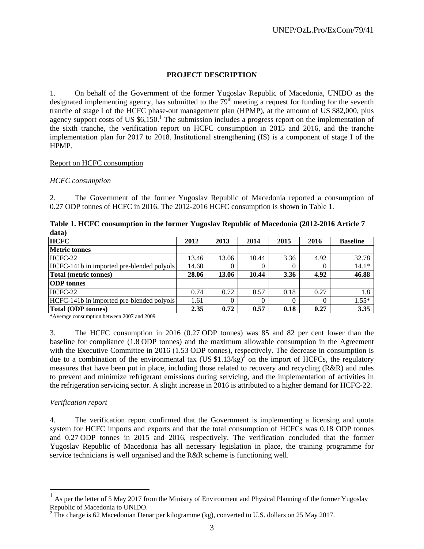### **PROJECT DESCRIPTION**

1. On behalf of the Government of the former Yugoslav Republic of Macedonia, UNIDO as the designated implementing agency, has submitted to the  $79<sup>th</sup>$  meeting a request for funding for the seventh tranche of stage I of the HCFC phase-out management plan (HPMP), at the amount of US \$82,000, plus agency support costs of US  $$6,150$ .<sup>1</sup> The submission includes a progress report on the implementation of the sixth tranche, the verification report on HCFC consumption in 2015 and 2016, and the tranche implementation plan for 2017 to 2018. Institutional strengthening (IS) is a component of stage I of the HPMP.

#### Report on HCFC consumption

#### *HCFC consumption*

2. The Government of the former Yugoslav Republic of Macedonia reported a consumption of 0.27 ODP tonnes of HCFC in 2016. The 2012-2016 HCFC consumption is shown in Table 1.

| uata)                                     |       |       |       |          |      |                 |  |  |  |
|-------------------------------------------|-------|-------|-------|----------|------|-----------------|--|--|--|
| <b>HCFC</b>                               | 2012  | 2013  | 2014  | 2015     | 2016 | <b>Baseline</b> |  |  |  |
| <b>Metric tonnes</b>                      |       |       |       |          |      |                 |  |  |  |
| $HCFC-22$                                 | 13.46 | 13.06 | 10.44 | 3.36     | 4.92 | 32.78           |  |  |  |
| HCFC-141b in imported pre-blended polyols | 14.60 | 0     |       | $\Omega$ |      | $14.1*$         |  |  |  |
| Total (metric tonnes)                     | 28.06 | 13.06 | 10.44 | 3.36     | 4.92 | 46.88           |  |  |  |
| <b>ODP</b> tonnes                         |       |       |       |          |      |                 |  |  |  |
| HCFC-22                                   | 0.74  | 0.72  | 0.57  | 0.18     | 0.27 | 1.8             |  |  |  |
| HCFC-141b in imported pre-blended polyols | 1.61  | 0     |       | $\Omega$ |      | $1.55*$         |  |  |  |
| <b>Total (ODP tonnes)</b>                 | 2.35  | 0.72  | 0.57  | 0.18     | 0.27 | 3.35            |  |  |  |

**Table 1. HCFC consumption in the former Yugoslav Republic of Macedonia (2012-2016 Article 7 data)** 

\*Average consumption between 2007 and 2009

3. The HCFC consumption in 2016 (0.27 ODP tonnes) was 85 and 82 per cent lower than the baseline for compliance (1.8 ODP tonnes) and the maximum allowable consumption in the Agreement with the Executive Committee in 2016 (1.53 ODP tonnes), respectively. The decrease in consumption is due to a combination of the environmental tax (US  $$1.13/kg$ )<sup>2</sup> on the import of HCFCs, the regulatory measures that have been put in place, including those related to recovery and recycling (R&R) and rules to prevent and minimize refrigerant emissions during servicing, and the implementation of activities in the refrigeration servicing sector. A slight increase in 2016 is attributed to a higher demand for HCFC-22.

#### *Verification report*

 $\overline{a}$ 

4. The verification report confirmed that the Government is implementing a licensing and quota system for HCFC imports and exports and that the total consumption of HCFCs was 0.18 ODP tonnes and 0.27 ODP tonnes in 2015 and 2016, respectively. The verification concluded that the former Yugoslav Republic of Macedonia has all necessary legislation in place, the training programme for service technicians is well organised and the R&R scheme is functioning well.

<sup>&</sup>lt;sup>1</sup> As per the letter of 5 May 2017 from the Ministry of Environment and Physical Planning of the former Yugoslav Republic of Macedonia to UNIDO.

<sup>&</sup>lt;sup>2</sup> The charge is 62 Macedonian Denar per kilogramme (kg), converted to U.S. dollars on 25 May 2017.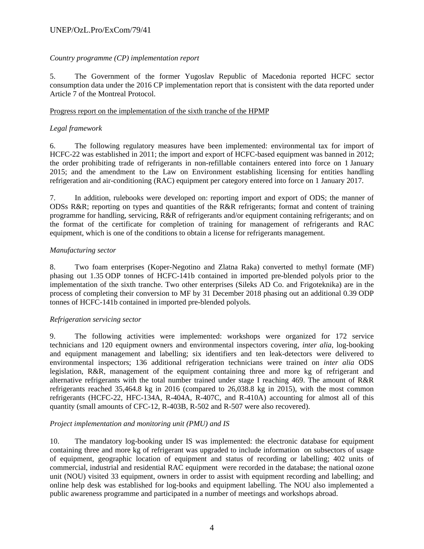# *Country programme (CP) implementation report*

5. The Government of the former Yugoslav Republic of Macedonia reported HCFC sector consumption data under the 2016 CP implementation report that is consistent with the data reported under Article 7 of the Montreal Protocol.

## Progress report on the implementation of the sixth tranche of the HPMP

## *Legal framework*

6. The following regulatory measures have been implemented: environmental tax for import of HCFC-22 was established in 2011; the import and export of HCFC-based equipment was banned in 2012; the order prohibiting trade of refrigerants in non-refillable containers entered into force on 1 January 2015; and the amendment to the Law on Environment establishing licensing for entities handling refrigeration and air-conditioning (RAC) equipment per category entered into force on 1 January 2017.

7. In addition, rulebooks were developed on: reporting import and export of ODS; the manner of ODSs R&R; reporting on types and quantities of the R&R refrigerants; format and content of training programme for handling, servicing, R&R of refrigerants and/or equipment containing refrigerants; and on the format of the certificate for completion of training for management of refrigerants and RAC equipment, which is one of the conditions to obtain a license for refrigerants management.

## *Manufacturing sector*

8. Two foam enterprises (Koper-Negotino and Zlatna Raka) converted to methyl formate (MF) phasing out 1.35 ODP tonnes of HCFC-141b contained in imported pre-blended polyols prior to the implementation of the sixth tranche. Two other enterprises (Sileks AD Co. and Frigoteknika) are in the process of completing their conversion to MF by 31 December 2018 phasing out an additional 0.39 ODP tonnes of HCFC-141b contained in imported pre-blended polyols.

## *Refrigeration servicing sector*

9. The following activities were implemented: workshops were organized for 172 service technicians and 120 equipment owners and environmental inspectors covering, *inter alia*, log-booking and equipment management and labelling; six identifiers and ten leak-detectors were delivered to environmental inspectors; 136 additional refrigeration technicians were trained on *inter alia* ODS legislation, R&R, management of the equipment containing three and more kg of refrigerant and alternative refrigerants with the total number trained under stage I reaching 469. The amount of R&R refrigerants reached 35,464.8 kg in 2016 (compared to 26,038.8 kg in 2015), with the most common refrigerants (HCFC-22, HFC-134A, R-404A, R-407C, and R-410A) accounting for almost all of this quantity (small amounts of CFC-12, R-403B, R-502 and R-507 were also recovered).

## *Project implementation and monitoring unit (PMU) and IS*

10. The mandatory log-booking under IS was implemented: the electronic database for equipment containing three and more kg of refrigerant was upgraded to include information on subsectors of usage of equipment, geographic location of equipment and status of recording or labelling; 402 units of commercial, industrial and residential RAC equipment were recorded in the database; the national ozone unit (NOU) visited 33 equipment, owners in order to assist with equipment recording and labelling; and online help desk was established for log-books and equipment labelling. The NOU also implemented a public awareness programme and participated in a number of meetings and workshops abroad.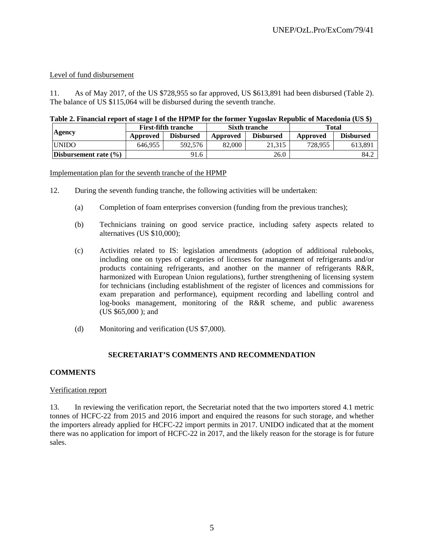## Level of fund disbursement

11. As of May 2017, of the US \$728,955 so far approved, US \$613,891 had been disbursed (Table 2). The balance of US \$115,064 will be disbursed during the seventh tranche.

#### **Table 2. Financial report of stage I of the HPMP for the former Yugoslav Republic of Macedonia (US \$)**

|                           |          | <b>First-fifth tranche</b> |          | <b>Sixth tranche</b> | Total    |                  |  |
|---------------------------|----------|----------------------------|----------|----------------------|----------|------------------|--|
| <b>Agency</b>             | Approved | <b>Disbursed</b>           | Approved | <b>Disbursed</b>     | Approved | <b>Disbursed</b> |  |
| <b>UNIDO</b>              | 646.955  | 592.576                    | 82,000   | 21,315               | 728,955  | 613.891          |  |
| Disbursement rate $(\% )$ |          | 91.6                       |          | 26.0                 |          | 84.2             |  |

Implementation plan for the seventh tranche of the HPMP

12. During the seventh funding tranche, the following activities will be undertaken:

- (a) Completion of foam enterprises conversion (funding from the previous tranches);
- (b) Technicians training on good service practice, including safety aspects related to alternatives (US \$10,000);
- (c) Activities related to IS: legislation amendments (adoption of additional rulebooks, including one on types of categories of licenses for management of refrigerants and/or products containing refrigerants, and another on the manner of refrigerants R&R, harmonized with European Union regulations), further strengthening of licensing system for technicians (including establishment of the register of licences and commissions for exam preparation and performance), equipment recording and labelling control and log-books management, monitoring of the R&R scheme, and public awareness (US \$65,000 ); and
- (d) Monitoring and verification (US \$7,000).

# **SECRETARIAT'S COMMENTS AND RECOMMENDATION**

## **COMMENTS**

## Verification report

13. In reviewing the verification report, the Secretariat noted that the two importers stored 4.1 metric tonnes of HCFC-22 from 2015 and 2016 import and enquired the reasons for such storage, and whether the importers already applied for HCFC-22 import permits in 2017. UNIDO indicated that at the moment there was no application for import of HCFC-22 in 2017, and the likely reason for the storage is for future sales.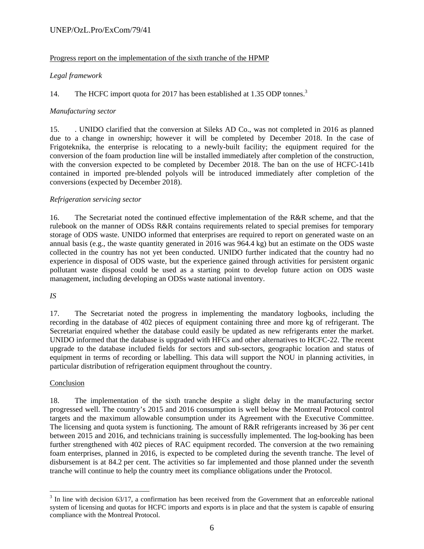# UNEP/OzL.Pro/ExCom/79/41

## Progress report on the implementation of the sixth tranche of the HPMP

### *Legal framework*

## 14. The HCFC import quota for 2017 has been established at 1.35 ODP tonnes.<sup>3</sup>

#### *Manufacturing sector*

15. . UNIDO clarified that the conversion at Sileks AD Co., was not completed in 2016 as planned due to a change in ownership; however it will be completed by December 2018. In the case of Frigoteknika, the enterprise is relocating to a newly-built facility; the equipment required for the conversion of the foam production line will be installed immediately after completion of the construction, with the conversion expected to be completed by December 2018. The ban on the use of HCFC-141b contained in imported pre-blended polyols will be introduced immediately after completion of the conversions (expected by December 2018).

#### *Refrigeration servicing sector*

16. The Secretariat noted the continued effective implementation of the R&R scheme, and that the rulebook on the manner of ODSs R&R contains requirements related to special premises for temporary storage of ODS waste. UNIDO informed that enterprises are required to report on generated waste on an annual basis (e.g., the waste quantity generated in 2016 was 964.4 kg) but an estimate on the ODS waste collected in the country has not yet been conducted. UNIDO further indicated that the country had no experience in disposal of ODS waste, but the experience gained through activities for persistent organic pollutant waste disposal could be used as a starting point to develop future action on ODS waste management, including developing an ODSs waste national inventory.

#### *IS*

17. The Secretariat noted the progress in implementing the mandatory logbooks, including the recording in the database of 402 pieces of equipment containing three and more kg of refrigerant. The Secretariat enquired whether the database could easily be updated as new refrigerants enter the market. UNIDO informed that the database is upgraded with HFCs and other alternatives to HCFC-22. The recent upgrade to the database included fields for sectors and sub-sectors, geographic location and status of equipment in terms of recording or labelling. This data will support the NOU in planning activities, in particular distribution of refrigeration equipment throughout the country.

#### Conclusion

 $\overline{a}$ 

18. The implementation of the sixth tranche despite a slight delay in the manufacturing sector progressed well. The country's 2015 and 2016 consumption is well below the Montreal Protocol control targets and the maximum allowable consumption under its Agreement with the Executive Committee. The licensing and quota system is functioning. The amount of R&R refrigerants increased by 36 per cent between 2015 and 2016, and technicians training is successfully implemented. The log-booking has been further strengthened with 402 pieces of RAC equipment recorded. The conversion at the two remaining foam enterprises, planned in 2016, is expected to be completed during the seventh tranche. The level of disbursement is at 84.2 per cent. The activities so far implemented and those planned under the seventh tranche will continue to help the country meet its compliance obligations under the Protocol.

 $3$  In line with decision 63/17, a confirmation has been received from the Government that an enforceable national system of licensing and quotas for HCFC imports and exports is in place and that the system is capable of ensuring compliance with the Montreal Protocol.